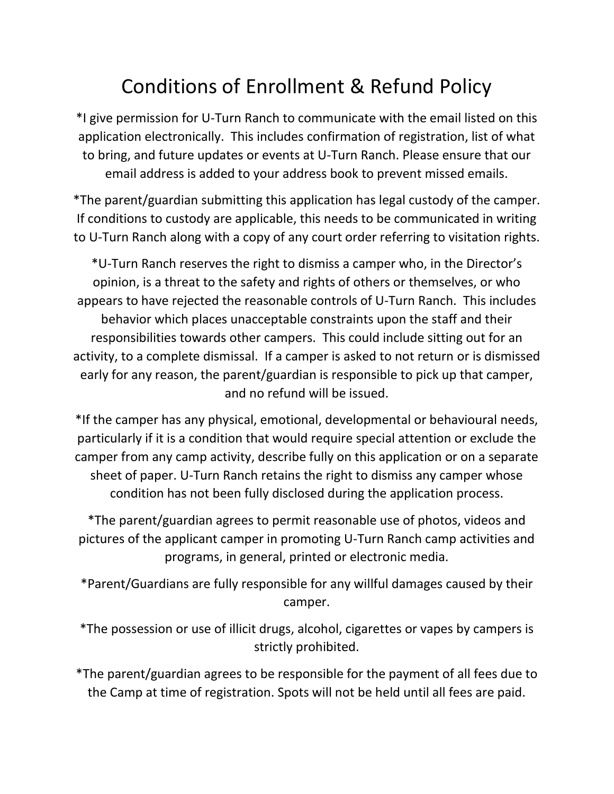## Conditions of Enrollment & Refund Policy

\*I give permission for U-Turn Ranch to communicate with the email listed on this application electronically. This includes confirmation of registration, list of what to bring, and future updates or events at U-Turn Ranch. Please ensure that our email address is added to your address book to prevent missed emails.

\*The parent/guardian submitting this application has legal custody of the camper. If conditions to custody are applicable, this needs to be communicated in writing to U-Turn Ranch along with a copy of any court order referring to visitation rights.

\*U-Turn Ranch reserves the right to dismiss a camper who, in the Director's opinion, is a threat to the safety and rights of others or themselves, or who appears to have rejected the reasonable controls of U-Turn Ranch. This includes behavior which places unacceptable constraints upon the staff and their responsibilities towards other campers. This could include sitting out for an activity, to a complete dismissal. If a camper is asked to not return or is dismissed early for any reason, the parent/guardian is responsible to pick up that camper, and no refund will be issued.

\*If the camper has any physical, emotional, developmental or behavioural needs, particularly if it is a condition that would require special attention or exclude the camper from any camp activity, describe fully on this application or on a separate sheet of paper. U-Turn Ranch retains the right to dismiss any camper whose condition has not been fully disclosed during the application process.

\*The parent/guardian agrees to permit reasonable use of photos, videos and pictures of the applicant camper in promoting U-Turn Ranch camp activities and programs, in general, printed or electronic media.

\*Parent/Guardians are fully responsible for any willful damages caused by their camper.

\*The possession or use of illicit drugs, alcohol, cigarettes or vapes by campers is strictly prohibited.

\*The parent/guardian agrees to be responsible for the payment of all fees due to the Camp at time of registration. Spots will not be held until all fees are paid.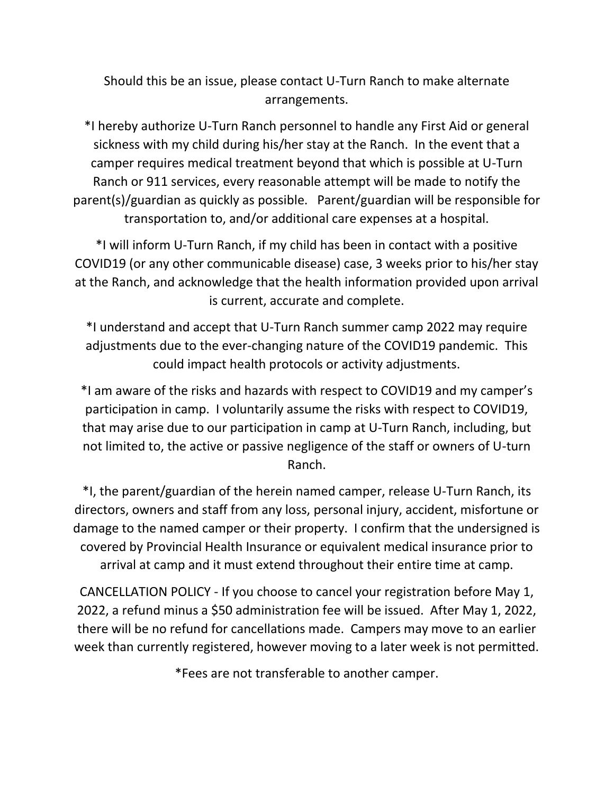Should this be an issue, please contact U-Turn Ranch to make alternate arrangements.

\*I hereby authorize U-Turn Ranch personnel to handle any First Aid or general sickness with my child during his/her stay at the Ranch. In the event that a camper requires medical treatment beyond that which is possible at U-Turn Ranch or 911 services, every reasonable attempt will be made to notify the parent(s)/guardian as quickly as possible. Parent/guardian will be responsible for transportation to, and/or additional care expenses at a hospital.

\*I will inform U-Turn Ranch, if my child has been in contact with a positive COVID19 (or any other communicable disease) case, 3 weeks prior to his/her stay at the Ranch, and acknowledge that the health information provided upon arrival is current, accurate and complete.

\*I understand and accept that U-Turn Ranch summer camp 2022 may require adjustments due to the ever-changing nature of the COVID19 pandemic. This could impact health protocols or activity adjustments.

\*I am aware of the risks and hazards with respect to COVID19 and my camper's participation in camp. I voluntarily assume the risks with respect to COVID19, that may arise due to our participation in camp at U-Turn Ranch, including, but not limited to, the active or passive negligence of the staff or owners of U-turn Ranch.

\*I, the parent/guardian of the herein named camper, release U-Turn Ranch, its directors, owners and staff from any loss, personal injury, accident, misfortune or damage to the named camper or their property. I confirm that the undersigned is covered by Provincial Health Insurance or equivalent medical insurance prior to arrival at camp and it must extend throughout their entire time at camp.

CANCELLATION POLICY - If you choose to cancel your registration before May 1, 2022, a refund minus a \$50 administration fee will be issued. After May 1, 2022, there will be no refund for cancellations made. Campers may move to an earlier week than currently registered, however moving to a later week is not permitted.

\*Fees are not transferable to another camper.